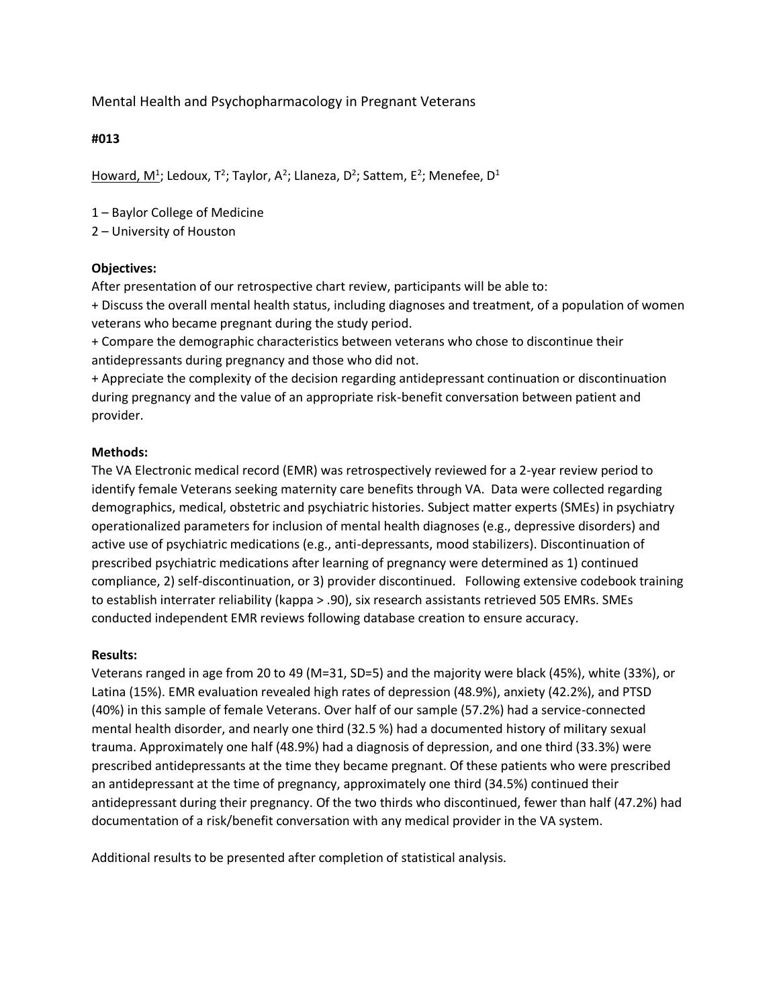Mental Health and Psychopharmacology in Pregnant Veterans

# **#013**

Howard, M<sup>1</sup>; Ledoux, T<sup>2</sup>; Taylor, A<sup>2</sup>; Llaneza, D<sup>2</sup>; Sattem, E<sup>2</sup>; Menefee, D<sup>1</sup>

1 – Baylor College of Medicine

2 – University of Houston

# **Objectives:**

After presentation of our retrospective chart review, participants will be able to:

+ Discuss the overall mental health status, including diagnoses and treatment, of a population of women veterans who became pregnant during the study period.

+ Compare the demographic characteristics between veterans who chose to discontinue their antidepressants during pregnancy and those who did not.

+ Appreciate the complexity of the decision regarding antidepressant continuation or discontinuation during pregnancy and the value of an appropriate risk-benefit conversation between patient and provider.

# **Methods:**

The VA Electronic medical record (EMR) was retrospectively reviewed for a 2-year review period to identify female Veterans seeking maternity care benefits through VA. Data were collected regarding demographics, medical, obstetric and psychiatric histories. Subject matter experts (SMEs) in psychiatry operationalized parameters for inclusion of mental health diagnoses (e.g., depressive disorders) and active use of psychiatric medications (e.g., anti-depressants, mood stabilizers). Discontinuation of prescribed psychiatric medications after learning of pregnancy were determined as 1) continued compliance, 2) self-discontinuation, or 3) provider discontinued. Following extensive codebook training to establish interrater reliability (kappa > .90), six research assistants retrieved 505 EMRs. SMEs conducted independent EMR reviews following database creation to ensure accuracy.

## **Results:**

Veterans ranged in age from 20 to 49 (M=31, SD=5) and the majority were black (45%), white (33%), or Latina (15%). EMR evaluation revealed high rates of depression (48.9%), anxiety (42.2%), and PTSD (40%) in this sample of female Veterans. Over half of our sample (57.2%) had a service-connected mental health disorder, and nearly one third (32.5 %) had a documented history of military sexual trauma. Approximately one half (48.9%) had a diagnosis of depression, and one third (33.3%) were prescribed antidepressants at the time they became pregnant. Of these patients who were prescribed an antidepressant at the time of pregnancy, approximately one third (34.5%) continued their antidepressant during their pregnancy. Of the two thirds who discontinued, fewer than half (47.2%) had documentation of a risk/benefit conversation with any medical provider in the VA system.

Additional results to be presented after completion of statistical analysis.